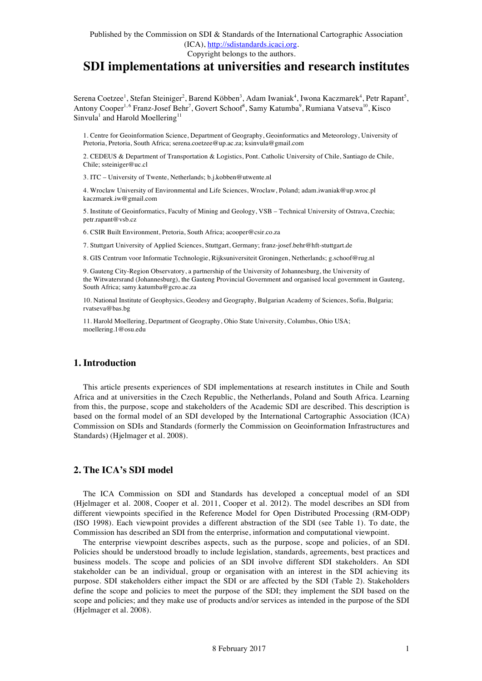# **SDI implementations at universities and research institutes**

Serena Coetzee<sup>1</sup>, Stefan Steiniger<sup>2</sup>, Barend Köbben<sup>3</sup>, Adam Iwaniak<sup>4</sup>, Iwona Kaczmarek<sup>4</sup>, Petr Rapant<sup>5</sup>, Antony Cooper<sup>1,6</sup> Franz-Josef Behr<sup>7</sup>, Govert Schoof<sup>8</sup>, Samy Katumba<sup>9</sup>, Rumiana Vatseva<sup>10</sup>, Kisco Sinvula<sup>1</sup> and Harold Moellering<sup>11</sup>

1. Centre for Geoinformation Science, Department of Geography, Geoinformatics and Meteorology, University of Pretoria, Pretoria, South Africa; serena.coetzee@up.ac.za; ksinvula@gmail.com

2. CEDEUS & Department of Transportation & Logistics, Pont. Catholic University of Chile, Santiago de Chile, Chile; ssteiniger@uc.cl

3. ITC – University of Twente, Netherlands; b.j.kobben@utwente.nl

4. Wroclaw University of Environmental and Life Sciences, Wroclaw, Poland; adam.iwaniak@up.wroc.pl kaczmarek.iw@gmail.com

5. Institute of Geoinformatics, Faculty of Mining and Geology, VSB – Technical University of Ostrava, Czechia; petr.rapant@vsb.cz

6. CSIR Built Environment, Pretoria, South Africa; acooper@csir.co.za

7. Stuttgart University of Applied Sciences, Stuttgart, Germany; franz-josef.behr@hft-stuttgart.de

8. GIS Centrum voor Informatie Technologie, Rijksuniversiteit Groningen, Netherlands; g.schoof@rug.nl

9. Gauteng City-Region Observatory, a partnership of the University of Johannesburg, the University of the Witwatersrand (Johannesburg), the Gauteng Provincial Government and organised local government in Gauteng, South Africa; samy.katumba@gcro.ac.za

10. National Institute of Geophysics, Geodesy and Geography, Bulgarian Academy of Sciences, Sofia, Bulgaria; rvatseva@bas.bg

11. Harold Moellering, Department of Geography, Ohio State University, Columbus, Ohio USA; moellering.1@osu.edu

## **1. Introduction**

This article presents experiences of SDI implementations at research institutes in Chile and South Africa and at universities in the Czech Republic, the Netherlands, Poland and South Africa. Learning from this, the purpose, scope and stakeholders of the Academic SDI are described. This description is based on the formal model of an SDI developed by the International Cartographic Association (ICA) Commission on SDIs and Standards (formerly the Commission on Geoinformation Infrastructures and Standards) (Hjelmager et al. 2008).

## **2. The ICA's SDI model**

The ICA Commission on SDI and Standards has developed a conceptual model of an SDI (Hjelmager et al. 2008, Cooper et al. 2011, Cooper et al. 2012). The model describes an SDI from different viewpoints specified in the Reference Model for Open Distributed Processing (RM-ODP) (ISO 1998). Each viewpoint provides a different abstraction of the SDI (see Table 1). To date, the Commission has described an SDI from the enterprise, information and computational viewpoint.

The enterprise viewpoint describes aspects, such as the purpose, scope and policies, of an SDI. Policies should be understood broadly to include legislation, standards, agreements, best practices and business models. The scope and policies of an SDI involve different SDI stakeholders. An SDI stakeholder can be an individual, group or organisation with an interest in the SDI achieving its purpose. SDI stakeholders either impact the SDI or are affected by the SDI (Table 2). Stakeholders define the scope and policies to meet the purpose of the SDI; they implement the SDI based on the scope and policies; and they make use of products and/or services as intended in the purpose of the SDI (Hjelmager et al. 2008).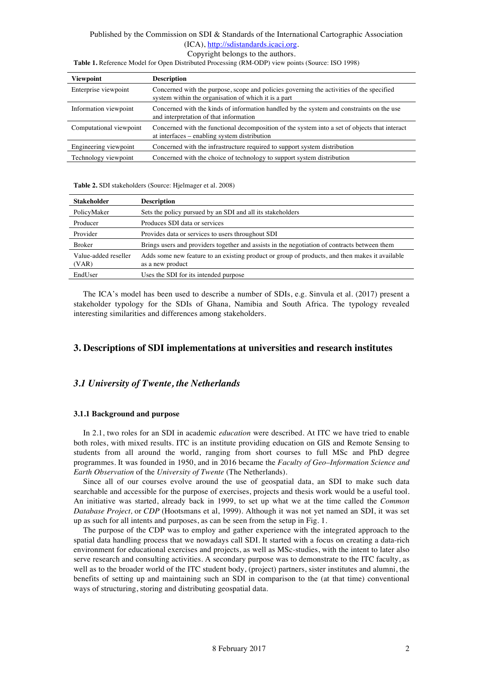Copyright belongs to the authors.

**Viewpoint Description** Enterprise viewpoint Concerned with the purpose, scope and policies governing the activities of the specified system within the organisation of which it is a part Information viewpoint Concerned with the kinds of information handled by the system and constraints on the use and interpretation of that information Computational viewpoint Concerned with the functional decomposition of the system into a set of objects that interact at interfaces – enabling system distribution Engineering viewpoint Concerned with the infrastructure required to support system distribution Technology viewpoint Concerned with the choice of technology to support system distribution

**Table 1.** Reference Model for Open Distributed Processing (RM-ODP) view points (Source: ISO 1998)

#### **Table 2.** SDI stakeholders (Source: Hjelmager et al. 2008)

| <b>Stakeholder</b>            | <b>Description</b>                                                                                                 |
|-------------------------------|--------------------------------------------------------------------------------------------------------------------|
| PolicyMaker                   | Sets the policy pursued by an SDI and all its stakeholders                                                         |
| Producer                      | Produces SDI data or services                                                                                      |
| Provider                      | Provides data or services to users throughout SDI                                                                  |
| <b>Broker</b>                 | Brings users and providers together and assists in the negotiation of contracts between them                       |
| Value-added reseller<br>(VAR) | Adds some new feature to an existing product or group of products, and then makes it available<br>as a new product |
| EndUser                       | Uses the SDI for its intended purpose                                                                              |

The ICA's model has been used to describe a number of SDIs, e.g. Sinvula et al. (2017) present a stakeholder typology for the SDIs of Ghana, Namibia and South Africa. The typology revealed interesting similarities and differences among stakeholders.

## **3. Descriptions of SDI implementations at universities and research institutes**

## *3.1 University of Twente, the Netherlands*

### **3.1.1 Background and purpose**

In 2.1, two roles for an SDI in academic *education* were described. At ITC we have tried to enable both roles, with mixed results. ITC is an institute providing education on GIS and Remote Sensing to students from all around the world, ranging from short courses to full MSc and PhD degree programmes. It was founded in 1950, and in 2016 became the *Faculty of Geo–Information Science and Earth Observation* of the *University of Twente* (The Netherlands).

Since all of our courses evolve around the use of geospatial data, an SDI to make such data searchable and accessible for the purpose of exercises, projects and thesis work would be a useful tool. An initiative was started, already back in 1999, to set up what we at the time called the *Common Database Project,* or *CDP* (Hootsmans et al, 1999). Although it was not yet named an SDI, it was set up as such for all intents and purposes, as can be seen from the setup in Fig. 1.

The purpose of the CDP was to employ and gather experience with the integrated approach to the spatial data handling process that we nowadays call SDI. It started with a focus on creating a data-rich environment for educational exercises and projects, as well as MSc-studies, with the intent to later also serve research and consulting activities. A secondary purpose was to demonstrate to the ITC faculty, as well as to the broader world of the ITC student body, (project) partners, sister institutes and alumni, the benefits of setting up and maintaining such an SDI in comparison to the (at that time) conventional ways of structuring, storing and distributing geospatial data.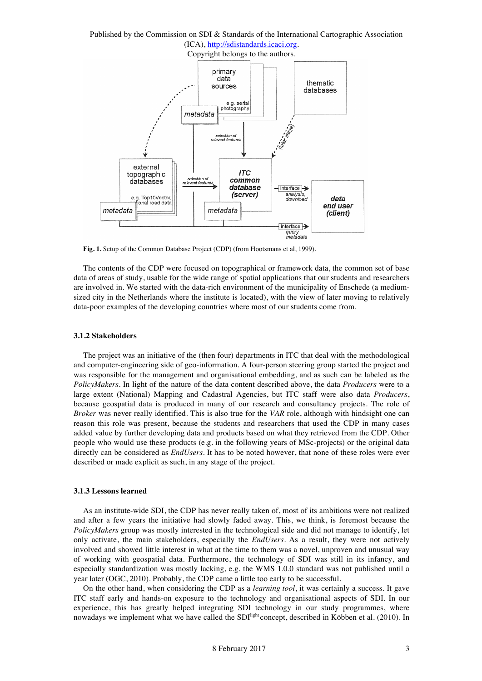#### Published by the Commission on SDI & Standards of the International Cartographic Association (ICA), http://sdistandards.icaci.org. Copyright belongs to the authors. primary data thematic sources databases e.g. aerial photography metadata selection of<br>relevant featur external **ITC** topographic selection of<br>relevant feature: common databases database  $\nightharpoonup$  interface (server) anahisis e.g. Top10Vector download data ional road data end user metadata metadata (client) interface query<br>metadata

**Fig. 1.** Setup of the Common Database Project (CDP) (from Hootsmans et al, 1999).

The contents of the CDP were focused on topographical or framework data, the common set of base data of areas of study, usable for the wide range of spatial applications that our students and researchers are involved in. We started with the data-rich environment of the municipality of Enschede (a mediumsized city in the Netherlands where the institute is located), with the view of later moving to relatively data-poor examples of the developing countries where most of our students come from.

#### **3.1.2 Stakeholders**

The project was an initiative of the (then four) departments in ITC that deal with the methodological and computer-engineering side of geo-information. A four-person steering group started the project and was responsible for the management and organisational embedding, and as such can be labeled as the *PolicyMakers*. In light of the nature of the data content described above, the data *Producers* were to a large extent (National) Mapping and Cadastral Agencies, but ITC staff were also data *Producers*, because geospatial data is produced in many of our research and consultancy projects. The role of *Broker* was never really identified. This is also true for the *VAR* role, although with hindsight one can reason this role was present, because the students and researchers that used the CDP in many cases added value by further developing data and products based on what they retrieved from the CDP. Other people who would use these products (e.g. in the following years of MSc-projects) or the original data directly can be considered as *EndUsers*. It has to be noted however, that none of these roles were ever described or made explicit as such, in any stage of the project.

### **3.1.3 Lessons learned**

As an institute-wide SDI, the CDP has never really taken of, most of its ambitions were not realized and after a few years the initiative had slowly faded away. This, we think, is foremost because the *PolicyMakers* group was mostly interested in the technological side and did not manage to identify, let only activate, the main stakeholders, especially the *EndUsers.* As a result, they were not actively involved and showed little interest in what at the time to them was a novel, unproven and unusual way of working with geospatial data. Furthermore, the technology of SDI was still in its infancy, and especially standardization was mostly lacking, e.g. the WMS 1.0.0 standard was not published until a year later (OGC, 2010). Probably, the CDP came a little too early to be successful.

On the other hand, when considering the CDP as a *learning tool*, it was certainly a success. It gave ITC staff early and hands-on exposure to the technology and organisational aspects of SDI. In our experience, this has greatly helped integrating SDI technology in our study programmes, where nowadays we implement what we have called the SDI<sup>light</sup> concept, described in Köbben et al. (2010). In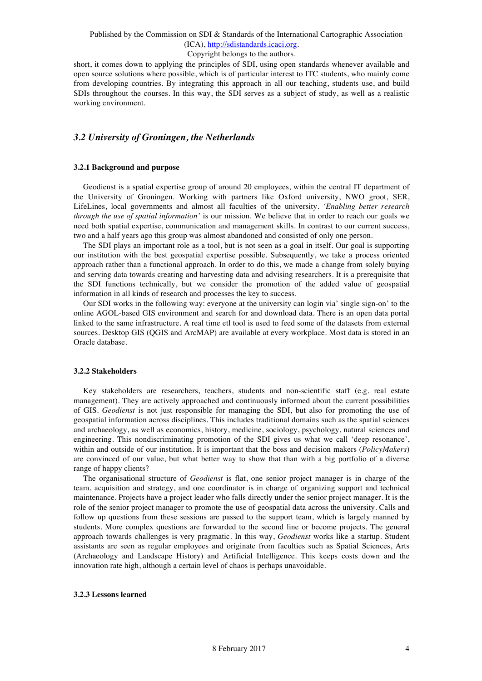#### Copyright belongs to the authors.

short, it comes down to applying the principles of SDI, using open standards whenever available and open source solutions where possible, which is of particular interest to ITC students, who mainly come from developing countries. By integrating this approach in all our teaching, students use, and build SDIs throughout the courses. In this way, the SDI serves as a subject of study, as well as a realistic working environment.

## *3.2 University of Groningen, the Netherlands*

#### **3.2.1 Background and purpose**

Geodienst is a spatial expertise group of around 20 employees, within the central IT department of the University of Groningen. Working with partners like Oxford university, NWO groot, SER, LifeLines, local governments and almost all faculties of the university. *'Enabling better research through the use of spatial information'* is our mission. We believe that in order to reach our goals we need both spatial expertise, communication and management skills. In contrast to our current success, two and a half years ago this group was almost abandoned and consisted of only one person.

The SDI plays an important role as a tool, but is not seen as a goal in itself. Our goal is supporting our institution with the best geospatial expertise possible. Subsequently, we take a process oriented approach rather than a functional approach. In order to do this, we made a change from solely buying and serving data towards creating and harvesting data and advising researchers. It is a prerequisite that the SDI functions technically, but we consider the promotion of the added value of geospatial information in all kinds of research and processes the key to success.

Our SDI works in the following way: everyone at the university can login via' single sign-on' to the online AGOL-based GIS environment and search for and download data. There is an open data portal linked to the same infrastructure. A real time etl tool is used to feed some of the datasets from external sources. Desktop GIS (QGIS and ArcMAP) are available at every workplace. Most data is stored in an Oracle database.

### **3.2.2 Stakeholders**

Key stakeholders are researchers, teachers, students and non-scientific staff (e.g. real estate management). They are actively approached and continuously informed about the current possibilities of GIS. *Geodienst* is not just responsible for managing the SDI, but also for promoting the use of geospatial information across disciplines. This includes traditional domains such as the spatial sciences and archaeology, as well as economics, history, medicine, sociology, psychology, natural sciences and engineering. This nondiscriminating promotion of the SDI gives us what we call 'deep resonance', within and outside of our institution. It is important that the boss and decision makers (*PolicyMakers*) are convinced of our value, but what better way to show that than with a big portfolio of a diverse range of happy clients?

The organisational structure of *Geodienst* is flat, one senior project manager is in charge of the team, acquisition and strategy, and one coordinator is in charge of organizing support and technical maintenance. Projects have a project leader who falls directly under the senior project manager. It is the role of the senior project manager to promote the use of geospatial data across the university. Calls and follow up questions from these sessions are passed to the support team, which is largely manned by students. More complex questions are forwarded to the second line or become projects. The general approach towards challenges is very pragmatic. In this way, *Geodienst* works like a startup. Student assistants are seen as regular employees and originate from faculties such as Spatial Sciences, Arts (Archaeology and Landscape History) and Artificial Intelligence. This keeps costs down and the innovation rate high, although a certain level of chaos is perhaps unavoidable.

#### **3.2.3 Lessons learned**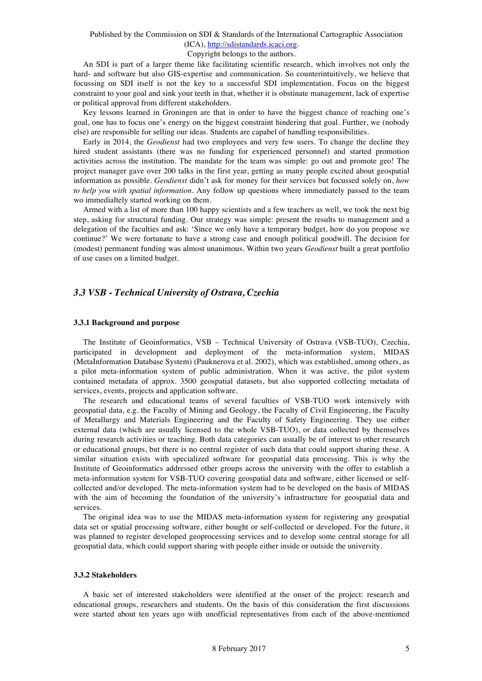#### Copyright belongs to the authors.

An SDI is part of a larger theme like facilitating scientific research, which involves not only the hard- and software but also GIS-expertise and communication. So counterintuitively, we believe that focussing on SDI itself is not the key to a successful SDI implementation. Focus on the biggest constraint to your goal and sink your teeth in that, whether it is obstinate management, lack of expertise or political approval from different stakeholders.

Key lessons learned in Groningen are that in order to have the biggest chance of reaching one's goal, one has to focus one's energy on the biggest constraint hindering that goal. Further, we (nobody else) are responsible for selling our ideas. Students are capabel of handling responsibilities.

Early in 2014, the *Geodienst* had two employees and very few users. To change the decline they hired student assistants (there was no funding for experienced personnel) and started promotion activities across the institution. The mandate for the team was simple: go out and promote geo! The project manager gave over 200 talks in the first year, getting as many people excited about geospatial information as possible. *Geodienst* didn't ask for money for their services but focussed solely on, *how to help you with spatial information*. Any follow up questions where immediately passed to the team wo immedialtely started working on them.

Armed with a list of more than 100 happy scientists and a few teachers as well, we took the next big step, asking for structural funding. Our strategy was simple: present the results to management and a delegation of the faculties and ask: 'Since we only have a temporary budget, how do you propose we continue?' We were fortunate to have a strong case and enough political goodwill. The decision for (modest) permanent funding was almost unanimous. Within two years *Geodienst* built a great portfolio of use cases on a limited budget.

## *3.3 VSB - Technical University of Ostrava, Czechia*

### **3.3.1 Background and purpose**

The Institute of Geoinformatics, VSB – Technical University of Ostrava (VSB-TUO), Czechia, participated in development and deployment of the meta-information system, MIDAS (MetaInformation Database System) (Pauknerova et al. 2002), which was established, among others, as a pilot meta-information system of public administration. When it was active, the pilot system contained metadata of approx. 3500 geospatial datasets, but also supported collecting metadata of services, events, projects and application software.

The research and educational teams of several faculties of VSB-TUO work intensively with geospatial data, e.g. the Faculty of Mining and Geology, the Faculty of Civil Engineering, the Faculty of Metallurgy and Materials Engineering and the Faculty of Safety Engineering. They use either external data (which are usually licensed to the whole VSB-TUO), or data collected by themselves during research activities or teaching. Both data categories can usually be of interest to other research or educational groups, but there is no central register of such data that could support sharing these. A similar situation exists with specialized software for geospatial data processing. This is why the Institute of Geoinformatics addressed other groups across the university with the offer to establish a meta-information system for VSB-TUO covering geospatial data and software, either licensed or selfcollected and/or developed. The meta-information system had to be developed on the basis of MIDAS with the aim of becoming the foundation of the university's infrastructure for geospatial data and services.

The original idea was to use the MIDAS meta-information system for registering any geospatial data set or spatial processing software, either bought or self-collected or developed. For the future, it was planned to register developed geoprocessing services and to develop some central storage for all geospatial data, which could support sharing with people either inside or outside the university.

#### **3.3.2 Stakeholders**

A basic set of interested stakeholders were identified at the onset of the project: research and educational groups, researchers and students. On the basis of this consideration the first discussions were started about ten years ago with unofficial representatives from each of the above-mentioned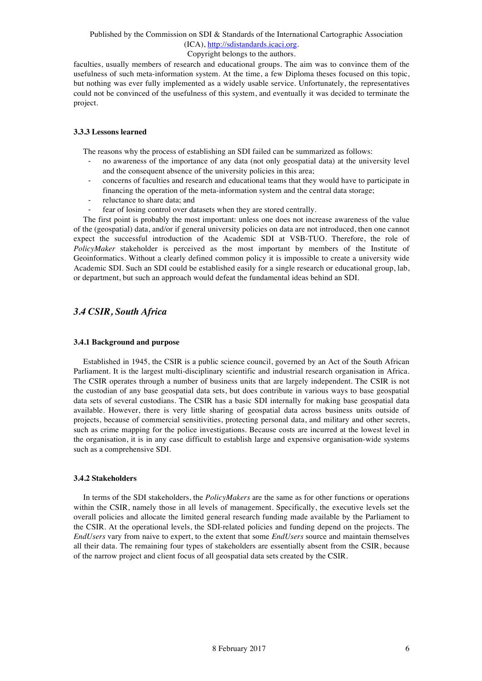### Copyright belongs to the authors.

faculties, usually members of research and educational groups. The aim was to convince them of the usefulness of such meta-information system. At the time, a few Diploma theses focused on this topic, but nothing was ever fully implemented as a widely usable service. Unfortunately, the representatives could not be convinced of the usefulness of this system, and eventually it was decided to terminate the project.

#### **3.3.3 Lessons learned**

The reasons why the process of establishing an SDI failed can be summarized as follows:

- no awareness of the importance of any data (not only geospatial data) at the university level and the consequent absence of the university policies in this area;
- concerns of faculties and research and educational teams that they would have to participate in financing the operation of the meta-information system and the central data storage;
- reluctance to share data; and
- fear of losing control over datasets when they are stored centrally.

The first point is probably the most important: unless one does not increase awareness of the value of the (geospatial) data, and/or if general university policies on data are not introduced, then one cannot expect the successful introduction of the Academic SDI at VSB-TUO. Therefore, the role of *PolicyMaker* stakeholder is perceived as the most important by members of the Institute of Geoinformatics. Without a clearly defined common policy it is impossible to create a university wide Academic SDI. Such an SDI could be established easily for a single research or educational group, lab, or department, but such an approach would defeat the fundamental ideas behind an SDI.

## *3.4 CSIR, South Africa*

#### **3.4.1 Background and purpose**

Established in 1945, the CSIR is a public science council, governed by an Act of the South African Parliament. It is the largest multi-disciplinary scientific and industrial research organisation in Africa. The CSIR operates through a number of business units that are largely independent. The CSIR is not the custodian of any base geospatial data sets, but does contribute in various ways to base geospatial data sets of several custodians. The CSIR has a basic SDI internally for making base geospatial data available. However, there is very little sharing of geospatial data across business units outside of projects, because of commercial sensitivities, protecting personal data, and military and other secrets, such as crime mapping for the police investigations. Because costs are incurred at the lowest level in the organisation, it is in any case difficult to establish large and expensive organisation-wide systems such as a comprehensive SDI.

#### **3.4.2 Stakeholders**

In terms of the SDI stakeholders, the *PolicyMakers* are the same as for other functions or operations within the CSIR, namely those in all levels of management. Specifically, the executive levels set the overall policies and allocate the limited general research funding made available by the Parliament to the CSIR. At the operational levels, the SDI-related policies and funding depend on the projects. The *EndUsers* vary from naive to expert, to the extent that some *EndUsers* source and maintain themselves all their data. The remaining four types of stakeholders are essentially absent from the CSIR, because of the narrow project and client focus of all geospatial data sets created by the CSIR.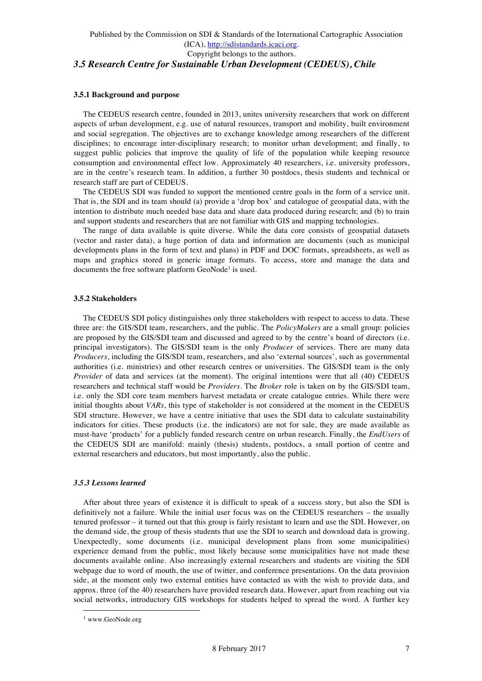### **3.5.1 Background and purpose**

The CEDEUS research centre, founded in 2013, unites university researchers that work on different aspects of urban development, e.g. use of natural resources, transport and mobility, built environment and social segregation. The objectives are to exchange knowledge among researchers of the different disciplines; to encourage inter-disciplinary research; to monitor urban development; and finally, to suggest public policies that improve the quality of life of the population while keeping resource consumption and environmental effect low. Approximately 40 researchers, i.e. university professors, are in the centre's research team. In addition, a further 30 postdocs, thesis students and technical or research staff are part of CEDEUS.

The CEDEUS SDI was funded to support the mentioned centre goals in the form of a service unit. That is, the SDI and its team should (a) provide a 'drop box' and catalogue of geospatial data, with the intention to distribute much needed base data and share data produced during research; and (b) to train and support students and researchers that are not familiar with GIS and mapping technologies.

The range of data available is quite diverse. While the data core consists of geospatial datasets (vector and raster data), a huge portion of data and information are documents (such as municipal developments plans in the form of text and plans) in PDF and DOC formats, spreadsheets, as well as maps and graphics stored in generic image formats. To access, store and manage the data and documents the free software platform  $GeoNode<sup>1</sup>$  is used.

### **3.5.2 Stakeholders**

The CEDEUS SDI policy distinguishes only three stakeholders with respect to access to data. These three are: the GIS/SDI team, researchers, and the public. The *PolicyMakers* are a small group: policies are proposed by the GIS/SDI team and discussed and agreed to by the centre's board of directors (i.e. principal investigators). The GIS/SDI team is the only *Producer* of services. There are many data *Producers*, including the GIS/SDI team, researchers, and also 'external sources', such as governmental authorities (i.e. ministries) and other research centres or universities. The GIS/SDI team is the only *Provider* of data and services (at the moment). The original intentions were that all (40) CEDEUS researchers and technical staff would be *Providers*. The *Broker* role is taken on by the GIS/SDI team, i.e. only the SDI core team members harvest metadata or create catalogue entries. While there were initial thoughts about *VARs*, this type of stakeholder is not considered at the moment in the CEDEUS SDI structure. However, we have a centre initiative that uses the SDI data to calculate sustainability indicators for cities. These products (i.e. the indicators) are not for sale, they are made available as must-have 'products' for a publicly funded research centre on urban research. Finally, the *EndUsers* of the CEDEUS SDI are manifold: mainly (thesis) students, postdocs, a small portion of centre and external researchers and educators, but most importantly, also the public.

### *3.5.3 Lessons learned*

After about three years of existence it is difficult to speak of a success story, but also the SDI is definitively not a failure. While the initial user focus was on the CEDEUS researchers – the usually tenured professor – it turned out that this group is fairly resistant to learn and use the SDI. However, on the demand side, the group of thesis students that use the SDI to search and download data is growing. Unexpectedly, some documents (i.e. municipal development plans from some municipalities) experience demand from the public, most likely because some municipalities have not made these documents available online. Also increasingly external researchers and students are visiting the SDI webpage due to word of mouth, the use of twitter, and conference presentations. On the data provision side, at the moment only two external entities have contacted us with the wish to provide data, and approx. three (of the 40) researchers have provided research data. However, apart from reaching out via social networks, introductory GIS workshops for students helped to spread the word. A further key

 <sup>1</sup> www.GeoNode.org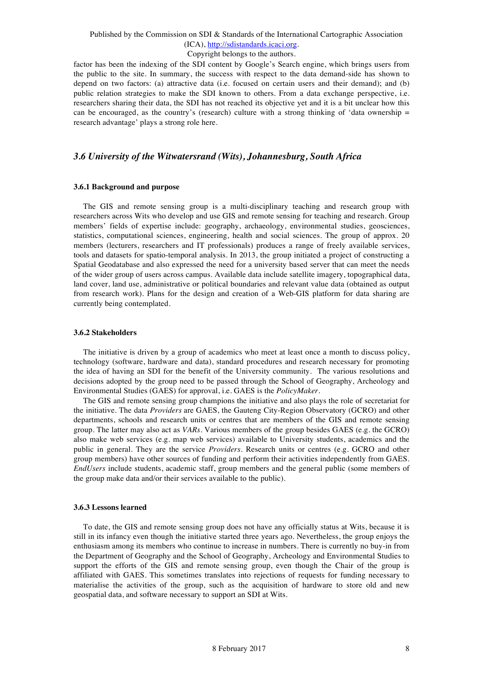#### Copyright belongs to the authors.

factor has been the indexing of the SDI content by Google's Search engine, which brings users from the public to the site. In summary, the success with respect to the data demand-side has shown to depend on two factors: (a) attractive data (i.e. focused on certain users and their demand); and (b) public relation strategies to make the SDI known to others. From a data exchange perspective, i.e. researchers sharing their data, the SDI has not reached its objective yet and it is a bit unclear how this can be encouraged, as the country's (research) culture with a strong thinking of 'data ownership  $=$ research advantage' plays a strong role here.

## *3.6 University of the Witwatersrand (Wits), Johannesburg, South Africa*

#### **3.6.1 Background and purpose**

The GIS and remote sensing group is a multi-disciplinary teaching and research group with researchers across Wits who develop and use GIS and remote sensing for teaching and research. Group members' fields of expertise include: geography, archaeology, environmental studies, geosciences, statistics, computational sciences, engineering, health and social sciences. The group of approx. 20 members (lecturers, researchers and IT professionals) produces a range of freely available services, tools and datasets for spatio-temporal analysis. In 2013, the group initiated a project of constructing a Spatial Geodatabase and also expressed the need for a university based server that can meet the needs of the wider group of users across campus. Available data include satellite imagery, topographical data, land cover, land use, administrative or political boundaries and relevant value data (obtained as output from research work). Plans for the design and creation of a Web-GIS platform for data sharing are currently being contemplated.

#### **3.6.2 Stakeholders**

The initiative is driven by a group of academics who meet at least once a month to discuss policy, technology (software, hardware and data), standard procedures and research necessary for promoting the idea of having an SDI for the benefit of the University community. The various resolutions and decisions adopted by the group need to be passed through the School of Geography, Archeology and Environmental Studies (GAES) for approval, i.e. GAES is the *PolicyMaker*.

The GIS and remote sensing group champions the initiative and also plays the role of secretariat for the initiative. The data *Providers* are GAES, the Gauteng City-Region Observatory (GCRO) and other departments, schools and research units or centres that are members of the GIS and remote sensing group. The latter may also act as *VARs*. Various members of the group besides GAES (e.g. the GCRO) also make web services (e.g. map web services) available to University students, academics and the public in general. They are the service *Providers*. Research units or centres (e.g. GCRO and other group members) have other sources of funding and perform their activities independently from GAES. *EndUsers* include students, academic staff, group members and the general public (some members of the group make data and/or their services available to the public).

#### **3.6.3 Lessons learned**

To date, the GIS and remote sensing group does not have any officially status at Wits, because it is still in its infancy even though the initiative started three years ago. Nevertheless, the group enjoys the enthusiasm among its members who continue to increase in numbers. There is currently no buy-in from the Department of Geography and the School of Geography, Archeology and Environmental Studies to support the efforts of the GIS and remote sensing group, even though the Chair of the group is affiliated with GAES. This sometimes translates into rejections of requests for funding necessary to materialise the activities of the group, such as the acquisition of hardware to store old and new geospatial data, and software necessary to support an SDI at Wits.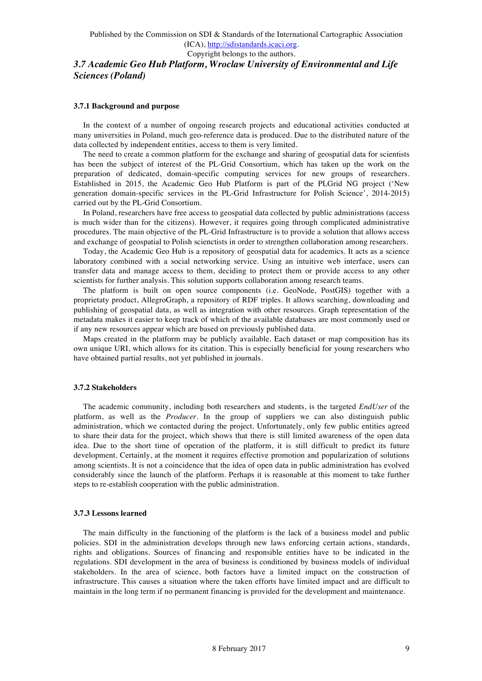## Copyright belongs to the authors. *3.7 Academic Geo Hub Platform, Wroclaw University of Environmental and Life Sciences (Poland)*

### **3.7.1 Background and purpose**

In the context of a number of ongoing research projects and educational activities conducted at many universities in Poland, much geo-reference data is produced. Due to the distributed nature of the data collected by independent entities, access to them is very limited.

The need to create a common platform for the exchange and sharing of geospatial data for scientists has been the subject of interest of the PL-Grid Consortium, which has taken up the work on the preparation of dedicated, domain-specific computing services for new groups of researchers. Established in 2015, the Academic Geo Hub Platform is part of the PLGrid NG project ('New generation domain-specific services in the PL-Grid Infrastructure for Polish Science', 2014-2015) carried out by the PL-Grid Consortium.

In Poland, researchers have free access to geospatial data collected by public administrations (access is much wider than for the citizens). However, it requires going through complicated administrative procedures. The main objective of the PL-Grid Infrastructure is to provide a solution that allows access and exchange of geospatial to Polish scienctists in order to strengthen collaboration among researchers.

Today, the Academic Geo Hub is a repository of geospatial data for academics. It acts as a science laboratory combined with a social networking service. Using an intuitive web interface, users can transfer data and manage access to them, deciding to protect them or provide access to any other scientists for further analysis. This solution supports collaboration among research teams.

The platform is built on open source components (i.e. GeoNode, PostGIS) together with a proprietaty product, AllegroGraph, a repository of RDF triples. It allows searching, downloading and publishing of geospatial data, as well as integration with other resources. Graph representation of the metadata makes it easier to keep track of which of the available databases are most commonly used or if any new resources appear which are based on previously published data.

Maps created in the platform may be publicly available. Each dataset or map composition has its own unique URI, which allows for its citation. This is especially beneficial for young researchers who have obtained partial results, not yet published in journals.

#### **3.7.2 Stakeholders**

The academic community, including both researchers and students, is the targeted *EndUser* of the platform, as well as the *Producer*. In the group of suppliers we can also distinguish public administration, which we contacted during the project. Unfortunately, only few public entities agreed to share their data for the project, which shows that there is still limited awareness of the open data idea. Due to the short time of operation of the platform, it is still difficult to predict its future development. Certainly, at the moment it requires effective promotion and popularization of solutions among scientists. It is not a coincidence that the idea of open data in public administration has evolved considerably since the launch of the platform. Perhaps it is reasonable at this moment to take further steps to re-establish cooperation with the public administration.

#### **3.7.3 Lessons learned**

The main difficulty in the functioning of the platform is the lack of a business model and public policies. SDI in the administration develops through new laws enforcing certain actions, standards, rights and obligations. Sources of financing and responsible entities have to be indicated in the regulations. SDI development in the area of business is conditioned by business models of individual stakeholders. In the area of science, both factors have a limited impact on the construction of infrastructure. This causes a situation where the taken efforts have limited impact and are difficult to maintain in the long term if no permanent financing is provided for the development and maintenance.